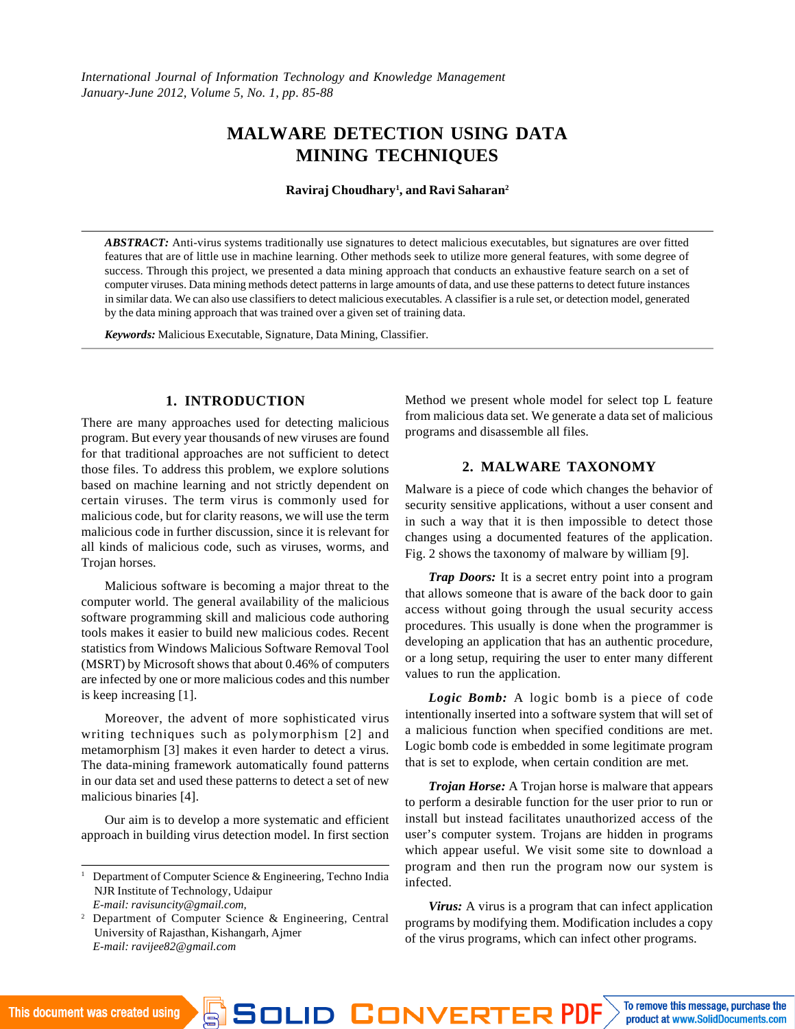International Journal of Information Technology and Knowledge Management January-June 2012, Volume 5, No. 1, pp. 85-88

# MALWARE DETECTION USING DATA [MININ](mailto:ravijee82@gmail.comMALWARE)G TECHNIQUES

Raviraj Choudhary<sup>1</sup>, and Ravi Saharan<sup>3</sup>

ABSTRACT: Anti-virus systems traditionally use signatures to detect malicious executables, but signatures are over fitted features that are of little use in machine learning. Other methods seek to utilize more general features, with some degree of success. Through this project, we presented a data mining approach that conducts an exhaustive feature search on a set of computer viruses. Data mining methods detect patterns in large amounts of data, and use these patterns to detect future instances in similar data. We can also use classifiers to detect malicious executables. A classifier is a rule set, or detection model, generated by the data mining approach that was trained over a given set of training data.

Keywords: Malicious Executable, Signature, Data Mining, Classifier.

#### 1. INTRODUCTION

There are many approaches used for detecting malicious malicious data set. We generate a data set of malicious program. But every year thousands of new viruses are found programs and disassemble all files. Method we present whole model for select top L feature

for that traditional approaches are not sufficient to detect

those files. To address this problem, we explore solutions

## 2. MALWARE TAXONOMY

based on machine learning and not strictly dependent Malware is a piece of code which changes the behavior of certain viruses. The term virus is commonly used folecurity sensitive applications, without a user consent and malicious code, but for clarity reasons, we will use the term such a way that it is then impossible to detect those malicious code in further discussion, since it is relevant for anges using a documented features of the application. all kinds of malicious code, such as viruses, worms, and Fig. 2 shows the taxonomy of malware by william [9]. Trojan horses.

Malicious software is becoming a major threat to the<br>that allows someone that is aware of the back door to gain computer world. The general availability of the malicious sompaior world: The gorioral availability of the malibbed access without going through the usual security access<br>software programming skill and malicious code authoring tools makes it easier to build new malicious codes. Recent procedures. This usually is done when the programmer is statistics from Windows Malicious Software Removal Tooleyeloping an application that has an authentic procedure, (MSRT) by Microsoft shows that about 0.46% of computers a long setup, requiring the user to enter many different are infected by one or more malicious codes and this numbelues to run the application. Trap Doors: It is a secret entry point into a program

is keep increasing [1]. Moreover, the advent of more sophisticated virugitentionally inserted into a software system that will set of writing techniques such as polymorphism [2] and malicious function when specified conditions are met. metamorphism [3] makes it even harder to detect a viru9gic bomb code is embedded in some legitimate program The data-mining framework automatically found patterntaat is set to explode, when certain condition are met. in our data set and used these patterns to detect a set of new<sub>Trojan</sub> Horse: A Trojan horse is malware that appears malicious binaries [4]. Logic Bomb: A logic bomb is a piece of code to perform a desirable function for the user prior to run or

Our aim is to develop a more systematic and efficiemstall but instead facilitates unauthorized access of the approach in building virus detection model. In first sectionser€s computer system. Trojans are hidden in programs

which appear useful. We visit some site to download a

<sup>1</sup> Department of Computer Science & Engineering, Techno India of Techno.<br>NJP Institute of Technology Udeinus NJR Institute of Technology, Udaipur E-mail: [ravisuncity@gmail.com](mailto:ravisuncity@gmail.com), program and then run the program now our system is Virus: A virus is a program that can infect application

<sup>2</sup> Department of Computer Science & Engineering, Centrarograms by modifying them. Modification includes a copy University of Rajasthan, Kishangarh, Ajmer E-mail: ravijee82@gmail.com of the virus programs, which can infect other programs.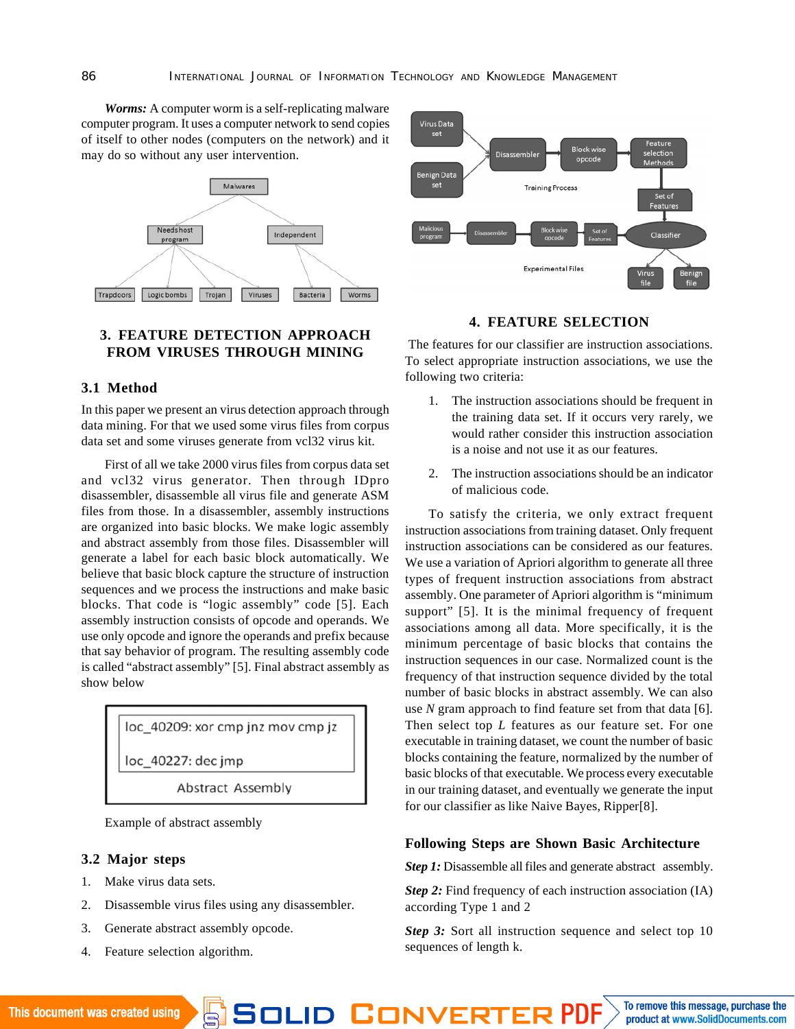*Worms:* A computer worm is a self-replicating malware computer program. It uses a computer network to send copies of itself to other nodes (computers on the network) and it may do so without any user intervention.



# **3. FEATURE DETECTION APPROACH FROM VIRUSES THROUGH MINING**

## **3.1 Method**

In this paper we present an virus detection approach through data mining. For that we used some virus files from corpus data set and some viruses generate from vcl32 virus kit.

First of all we take 2000 virus files from corpus data set and vcl32 virus generator. Then through IDpro disassembler, disassemble all virus file and generate ASM files from those. In a disassembler, assembly instructions are organized into basic blocks. We make logic assembly and abstract assembly from those files. Disassembler will generate a label for each basic block automatically. We believe that basic block capture the structure of instruction sequences and we process the instructions and make basic blocks. That code is "logic assembly" code [5]. Each assembly instruction consists of opcode and operands. We use only opcode and ignore the operands and prefix because that say behavior of program. The resulting assembly code is called "abstract assembly" [5]. Final abstract assembly as show below

loc 40209: xor cmp jnz mov cmp jz

loc 40227: dec jmp

**Abstract Assembly** 

Example of abstract assembly

- **3.2 Major steps**
- 1. Make virus data sets.
- 2. Disassemble virus files using any disassembler.
- 3. Generate abstract assembly opcode.
- 4. Feature selection algorithm.



## **4. FEATURE SELECTION**

 The features for our classifier are instruction associations. To select appropriate instruction associations, we use the following two criteria:

- 1. The instruction associations should be frequent in the training data set. If it occurs very rarely, we would rather consider this instruction association is a noise and not use it as our features.
- 2. The instruction associations should be an indicator of malicious code.

To satisfy the criteria, we only extract frequent instruction associations from training dataset. Only frequent instruction associations can be considered as our features. We use a variation of Apriori algorithm to generate all three types of frequent instruction associations from abstract assembly. One parameter of Apriori algorithm is "minimum support" [5]. It is the minimal frequency of frequent associations among all data. More specifically, it is the minimum percentage of basic blocks that contains the instruction sequences in our case. Normalized count is the frequency of that instruction sequence divided by the total number of basic blocks in abstract assembly. We can also use *N* gram approach to find feature set from that data [6]. Then select top *L* features as our feature set. For one executable in training dataset, we count the number of basic blocks containing the feature, normalized by the number of basic blocks of that executable. We process every executable in our training dataset, and eventually we generate the input for our classifier as like Naive Bayes, Ripper[8].

#### **Following Steps are Shown Basic Architecture**

*Step 1:* Disassemble all files and generate abstract assembly.

*Step 2:* Find frequency of each instruction association (IA) according Type 1 and 2

*Step 3:* Sort all instruction sequence and select top 10 sequences of length k.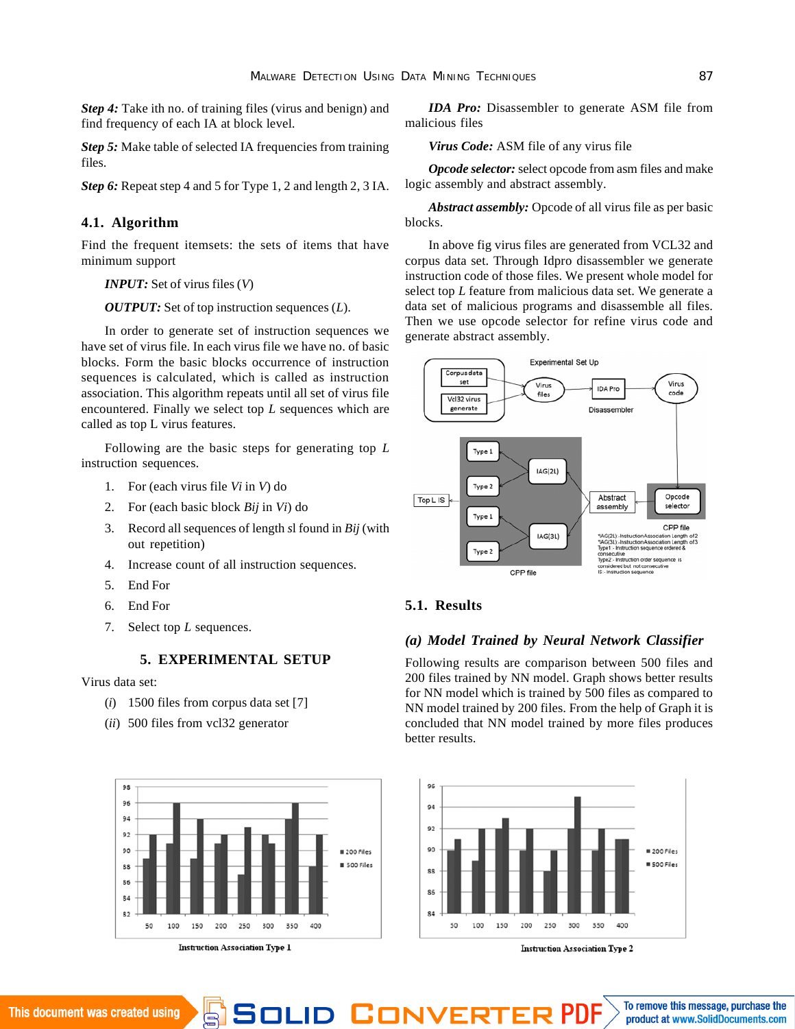*Step 4:* Take ith no. of training files (virus and benign) and find frequency of each IA at block level.

*Step 5:* Make table of selected IA frequencies from training files.

*Step 6:* Repeat step 4 and 5 for Type 1, 2 and length 2, 3 IA.

## **4.1. Algorithm**

Find the frequent itemsets: the sets of items that have minimum support

#### *INPUT:* Set of virus files (*V*)

*OUTPUT:* Set of top instruction sequences (*L*).

In order to generate set of instruction sequences we have set of virus file. In each virus file we have no. of basic blocks. Form the basic blocks occurrence of instruction sequences is calculated, which is called as instruction association. This algorithm repeats until all set of virus file encountered. Finally we select top *L* sequences which are called as top L virus features.

Following are the basic steps for generating top *L* instruction sequences.

- 1. For (each virus file *Vi* in *V*) do
- 2. For (each basic block *Bij* in *Vi*) do
- 3. Record all sequences of length *s*l found in *Bij* (with out repetition)
- 4. Increase count of all instruction sequences.
- 5. End For
- 6. End For
- 7. Select top *L* sequences.

#### **5. EXPERIMENTAL SETUP**

#### Virus data set:

- (*i*) 1500 files from corpus data set [7]
- (*ii*) 500 files from vcl32 generator



*IDA Pro:* Disassembler to generate ASM file from malicious files

*Virus Code:* ASM file of any virus file

*Opcode selector:* select opcode from asm files and make logic assembly and abstract assembly.

*Abstract assembly:* Opcode of all virus file as per basic blocks.

In above fig virus files are generated from VCL32 and corpus data set. Through Idpro disassembler we generate instruction code of those files. We present whole model for select top *L* feature from malicious data set. We generate a data set of malicious programs and disassemble all files. Then we use opcode selector for refine virus code and generate abstract assembly.



#### **5.1. Results**

# *(a) Model Trained by Neural Network Classifier*

Following results are comparison between 500 files and 200 files trained by NN model. Graph shows better results for NN model which is trained by 500 files as compared to NN model trained by 200 files. From the help of Graph it is concluded that NN model trained by more files produces better results.



**Instruction Association Type 2**